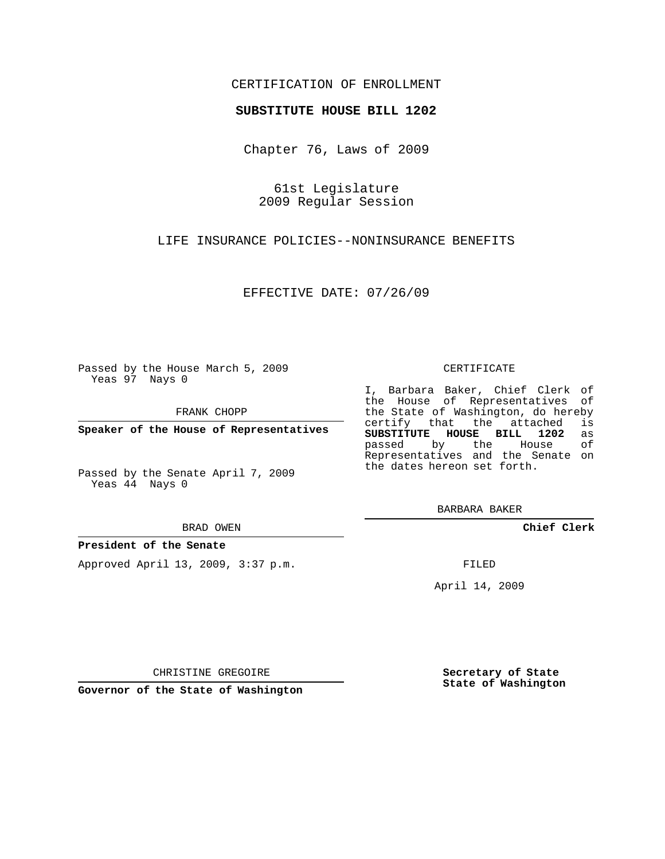## CERTIFICATION OF ENROLLMENT

## **SUBSTITUTE HOUSE BILL 1202**

Chapter 76, Laws of 2009

61st Legislature 2009 Regular Session

LIFE INSURANCE POLICIES--NONINSURANCE BENEFITS

EFFECTIVE DATE: 07/26/09

Passed by the House March 5, 2009 Yeas 97 Nays 0

FRANK CHOPP

**Speaker of the House of Representatives**

Passed by the Senate April 7, 2009 Yeas 44 Nays 0

BRAD OWEN

### **President of the Senate**

Approved April 13, 2009, 3:37 p.m.

#### CERTIFICATE

I, Barbara Baker, Chief Clerk of the House of Representatives of the State of Washington, do hereby<br>certify that the attached is certify that the attached **SUBSTITUTE HOUSE BILL 1202** as passed by the House Representatives and the Senate on the dates hereon set forth.

BARBARA BAKER

**Chief Clerk**

FILED

April 14, 2009

CHRISTINE GREGOIRE

**Governor of the State of Washington**

**Secretary of State State of Washington**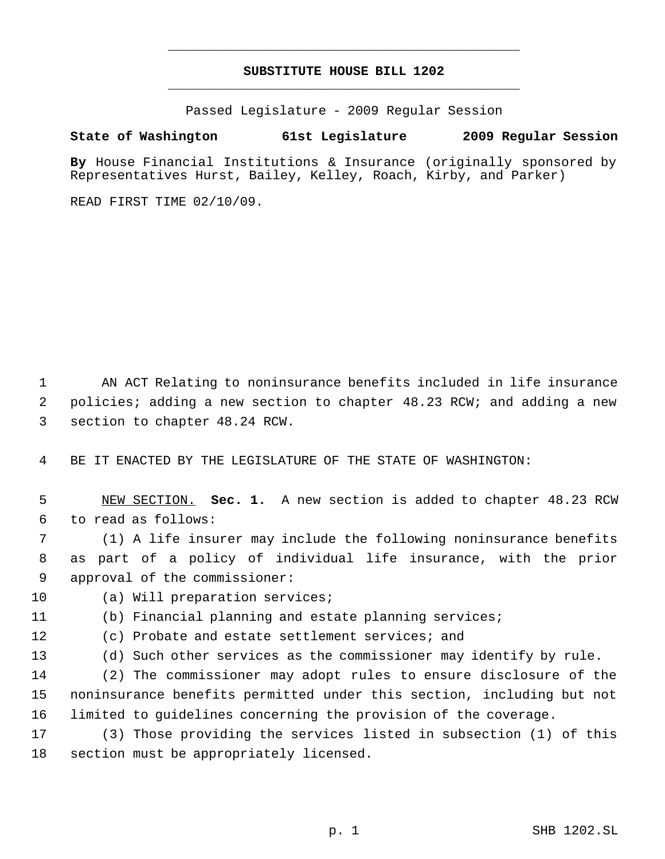# **SUBSTITUTE HOUSE BILL 1202** \_\_\_\_\_\_\_\_\_\_\_\_\_\_\_\_\_\_\_\_\_\_\_\_\_\_\_\_\_\_\_\_\_\_\_\_\_\_\_\_\_\_\_\_\_

\_\_\_\_\_\_\_\_\_\_\_\_\_\_\_\_\_\_\_\_\_\_\_\_\_\_\_\_\_\_\_\_\_\_\_\_\_\_\_\_\_\_\_\_\_

Passed Legislature - 2009 Regular Session

# **State of Washington 61st Legislature 2009 Regular Session**

**By** House Financial Institutions & Insurance (originally sponsored by Representatives Hurst, Bailey, Kelley, Roach, Kirby, and Parker)

READ FIRST TIME 02/10/09.

 AN ACT Relating to noninsurance benefits included in life insurance policies; adding a new section to chapter 48.23 RCW; and adding a new section to chapter 48.24 RCW.

BE IT ENACTED BY THE LEGISLATURE OF THE STATE OF WASHINGTON:

 NEW SECTION. **Sec. 1.** A new section is added to chapter 48.23 RCW to read as follows:

 (1) A life insurer may include the following noninsurance benefits as part of a policy of individual life insurance, with the prior approval of the commissioner:

(a) Will preparation services;

(b) Financial planning and estate planning services;

(c) Probate and estate settlement services; and

(d) Such other services as the commissioner may identify by rule.

 (2) The commissioner may adopt rules to ensure disclosure of the noninsurance benefits permitted under this section, including but not limited to guidelines concerning the provision of the coverage.

 (3) Those providing the services listed in subsection (1) of this section must be appropriately licensed.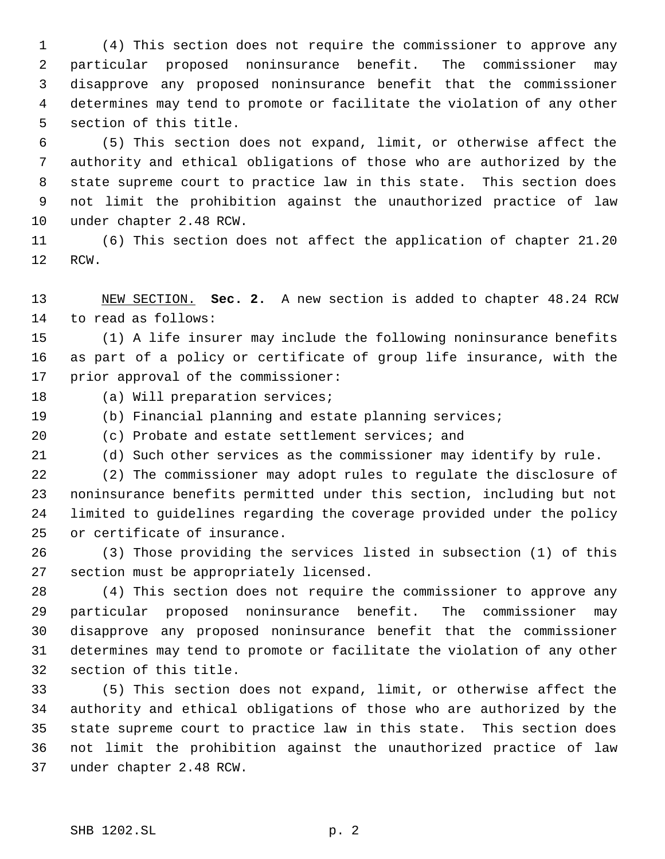(4) This section does not require the commissioner to approve any particular proposed noninsurance benefit. The commissioner may disapprove any proposed noninsurance benefit that the commissioner determines may tend to promote or facilitate the violation of any other section of this title.

 (5) This section does not expand, limit, or otherwise affect the authority and ethical obligations of those who are authorized by the state supreme court to practice law in this state. This section does not limit the prohibition against the unauthorized practice of law under chapter 2.48 RCW.

 (6) This section does not affect the application of chapter 21.20 RCW.

 NEW SECTION. **Sec. 2.** A new section is added to chapter 48.24 RCW to read as follows:

 (1) A life insurer may include the following noninsurance benefits as part of a policy or certificate of group life insurance, with the prior approval of the commissioner:

18 (a) Will preparation services;

(b) Financial planning and estate planning services;

(c) Probate and estate settlement services; and

(d) Such other services as the commissioner may identify by rule.

 (2) The commissioner may adopt rules to regulate the disclosure of noninsurance benefits permitted under this section, including but not limited to guidelines regarding the coverage provided under the policy or certificate of insurance.

 (3) Those providing the services listed in subsection (1) of this section must be appropriately licensed.

 (4) This section does not require the commissioner to approve any particular proposed noninsurance benefit. The commissioner may disapprove any proposed noninsurance benefit that the commissioner determines may tend to promote or facilitate the violation of any other section of this title.

 (5) This section does not expand, limit, or otherwise affect the authority and ethical obligations of those who are authorized by the state supreme court to practice law in this state. This section does not limit the prohibition against the unauthorized practice of law under chapter 2.48 RCW.